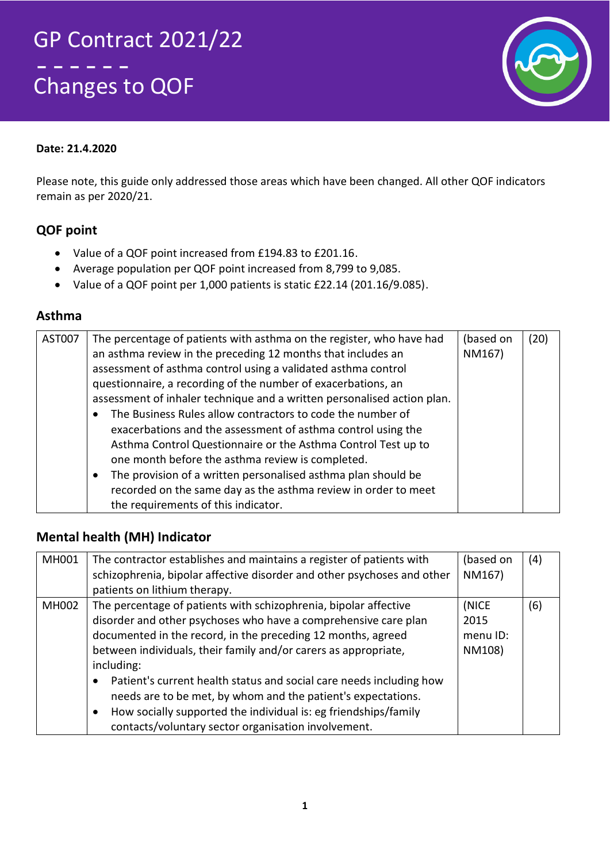# GP Contract 2021/22 . . . . Changes to QOF



### **Date: 21.4.2020**

Please note, this guide only addressed those areas which have been changed. All other QOF indicators remain as per 2020/21.

### **QOF point**

- Value of a QOF point increased from £194.83 to £201.16.
- Average population per QOF point increased from 8,799 to 9,085.
- Value of a QOF point per 1,000 patients is static £22.14 (201.16/9.085).

#### **Asthma**

| AST007 | The percentage of patients with asthma on the register, who have had<br>an asthma review in the preceding 12 months that includes an<br>assessment of asthma control using a validated asthma control<br>questionnaire, a recording of the number of exacerbations, an<br>assessment of inhaler technique and a written personalised action plan.<br>The Business Rules allow contractors to code the number of<br>exacerbations and the assessment of asthma control using the<br>Asthma Control Questionnaire or the Asthma Control Test up to<br>one month before the asthma review is completed.<br>The provision of a written personalised asthma plan should be<br>٠ | (based on<br>NM167) | (20) |
|--------|----------------------------------------------------------------------------------------------------------------------------------------------------------------------------------------------------------------------------------------------------------------------------------------------------------------------------------------------------------------------------------------------------------------------------------------------------------------------------------------------------------------------------------------------------------------------------------------------------------------------------------------------------------------------------|---------------------|------|
|        | recorded on the same day as the asthma review in order to meet<br>the requirements of this indicator.                                                                                                                                                                                                                                                                                                                                                                                                                                                                                                                                                                      |                     |      |

### **Mental health (MH) Indicator**

| MH001 | The contractor establishes and maintains a register of patients with             | (based on | (4) |
|-------|----------------------------------------------------------------------------------|-----------|-----|
|       | schizophrenia, bipolar affective disorder and other psychoses and other          | NM167)    |     |
|       | patients on lithium therapy.                                                     |           |     |
| MH002 | The percentage of patients with schizophrenia, bipolar affective                 | (NICE     | (6) |
|       | disorder and other psychoses who have a comprehensive care plan                  | 2015      |     |
|       | documented in the record, in the preceding 12 months, agreed                     | menu ID:  |     |
|       | between individuals, their family and/or carers as appropriate,                  | NM108)    |     |
|       | including:                                                                       |           |     |
|       | Patient's current health status and social care needs including how<br>$\bullet$ |           |     |
|       | needs are to be met, by whom and the patient's expectations.                     |           |     |
|       | How socially supported the individual is: eg friendships/family<br>$\bullet$     |           |     |
|       | contacts/voluntary sector organisation involvement.                              |           |     |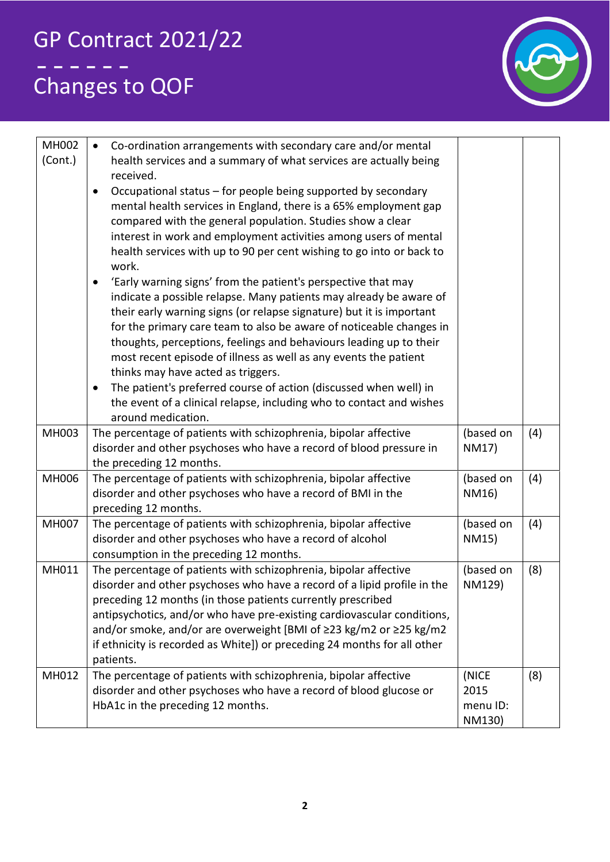

| <b>MH002</b><br>(Cont.) | Co-ordination arrangements with secondary care and/or mental<br>$\bullet$<br>health services and a summary of what services are actually being<br>received.<br>Occupational status - for people being supported by secondary<br>$\bullet$<br>mental health services in England, there is a 65% employment gap<br>compared with the general population. Studies show a clear<br>interest in work and employment activities among users of mental<br>health services with up to 90 per cent wishing to go into or back to<br>work.<br>'Early warning signs' from the patient's perspective that may<br>indicate a possible relapse. Many patients may already be aware of<br>their early warning signs (or relapse signature) but it is important<br>for the primary care team to also be aware of noticeable changes in |                                     |     |
|-------------------------|------------------------------------------------------------------------------------------------------------------------------------------------------------------------------------------------------------------------------------------------------------------------------------------------------------------------------------------------------------------------------------------------------------------------------------------------------------------------------------------------------------------------------------------------------------------------------------------------------------------------------------------------------------------------------------------------------------------------------------------------------------------------------------------------------------------------|-------------------------------------|-----|
|                         | thoughts, perceptions, feelings and behaviours leading up to their<br>most recent episode of illness as well as any events the patient<br>thinks may have acted as triggers.<br>The patient's preferred course of action (discussed when well) in<br>$\bullet$<br>the event of a clinical relapse, including who to contact and wishes                                                                                                                                                                                                                                                                                                                                                                                                                                                                                 |                                     |     |
|                         | around medication.                                                                                                                                                                                                                                                                                                                                                                                                                                                                                                                                                                                                                                                                                                                                                                                                     |                                     |     |
| MH003                   | The percentage of patients with schizophrenia, bipolar affective<br>disorder and other psychoses who have a record of blood pressure in<br>the preceding 12 months.                                                                                                                                                                                                                                                                                                                                                                                                                                                                                                                                                                                                                                                    | (based on<br>NM17)                  | (4) |
| <b>MH006</b>            | The percentage of patients with schizophrenia, bipolar affective<br>disorder and other psychoses who have a record of BMI in the<br>preceding 12 months.                                                                                                                                                                                                                                                                                                                                                                                                                                                                                                                                                                                                                                                               | (based on<br>NM16)                  | (4) |
| <b>MH007</b>            | The percentage of patients with schizophrenia, bipolar affective<br>disorder and other psychoses who have a record of alcohol<br>consumption in the preceding 12 months.                                                                                                                                                                                                                                                                                                                                                                                                                                                                                                                                                                                                                                               | (based on<br>NM15)                  | (4) |
| MH011                   | The percentage of patients with schizophrenia, bipolar affective<br>disorder and other psychoses who have a record of a lipid profile in the<br>preceding 12 months (in those patients currently prescribed<br>antipsychotics, and/or who have pre-existing cardiovascular conditions,<br>and/or smoke, and/or are overweight [BMI of ≥23 kg/m2 or ≥25 kg/m2<br>if ethnicity is recorded as White]) or preceding 24 months for all other<br>patients.                                                                                                                                                                                                                                                                                                                                                                  | (based on<br>NM129)                 | (8) |
| MH012                   | The percentage of patients with schizophrenia, bipolar affective<br>disorder and other psychoses who have a record of blood glucose or<br>HbA1c in the preceding 12 months.                                                                                                                                                                                                                                                                                                                                                                                                                                                                                                                                                                                                                                            | (NICE<br>2015<br>menu ID:<br>NM130) | (8) |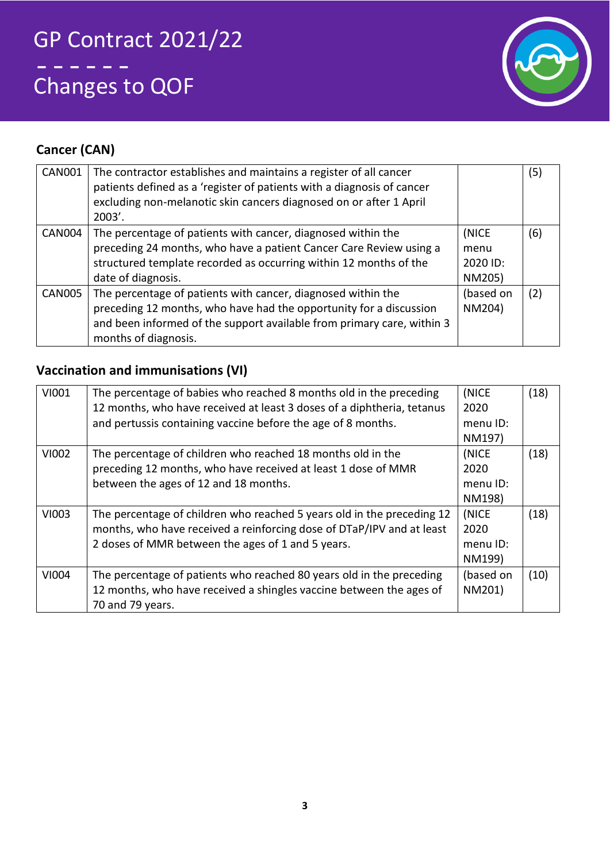

## **Cancer (CAN)**

| <b>CAN001</b> | The contractor establishes and maintains a register of all cancer<br>patients defined as a 'register of patients with a diagnosis of cancer<br>excluding non-melanotic skin cancers diagnosed on or after 1 April<br>$2003'$ .       |                                     | (5) |
|---------------|--------------------------------------------------------------------------------------------------------------------------------------------------------------------------------------------------------------------------------------|-------------------------------------|-----|
| <b>CAN004</b> | The percentage of patients with cancer, diagnosed within the<br>preceding 24 months, who have a patient Cancer Care Review using a<br>structured template recorded as occurring within 12 months of the<br>date of diagnosis.        | (NICE<br>menu<br>2020 ID:<br>NM205) | (6) |
| CAN005        | The percentage of patients with cancer, diagnosed within the<br>preceding 12 months, who have had the opportunity for a discussion<br>and been informed of the support available from primary care, within 3<br>months of diagnosis. | (based on<br>NM204)                 | (2) |

## **Vaccination and immunisations (VI)**

| VI001 | The percentage of babies who reached 8 months old in the preceding     | (NICE     | (18) |
|-------|------------------------------------------------------------------------|-----------|------|
|       | 12 months, who have received at least 3 doses of a diphtheria, tetanus | 2020      |      |
|       | and pertussis containing vaccine before the age of 8 months.           | menu ID:  |      |
|       |                                                                        | NM197)    |      |
| VI002 | The percentage of children who reached 18 months old in the            | (NICE     | (18) |
|       | preceding 12 months, who have received at least 1 dose of MMR          | 2020      |      |
|       | between the ages of 12 and 18 months.                                  | menu ID:  |      |
|       |                                                                        | NM198)    |      |
| VI003 | The percentage of children who reached 5 years old in the preceding 12 | (NICE     | (18) |
|       | months, who have received a reinforcing dose of DTaP/IPV and at least  | 2020      |      |
|       | 2 doses of MMR between the ages of 1 and 5 years.                      | menu ID:  |      |
|       |                                                                        | NM199)    |      |
| VI004 | The percentage of patients who reached 80 years old in the preceding   | (based on | (10) |
|       | 12 months, who have received a shingles vaccine between the ages of    | NM201)    |      |
|       | 70 and 79 years.                                                       |           |      |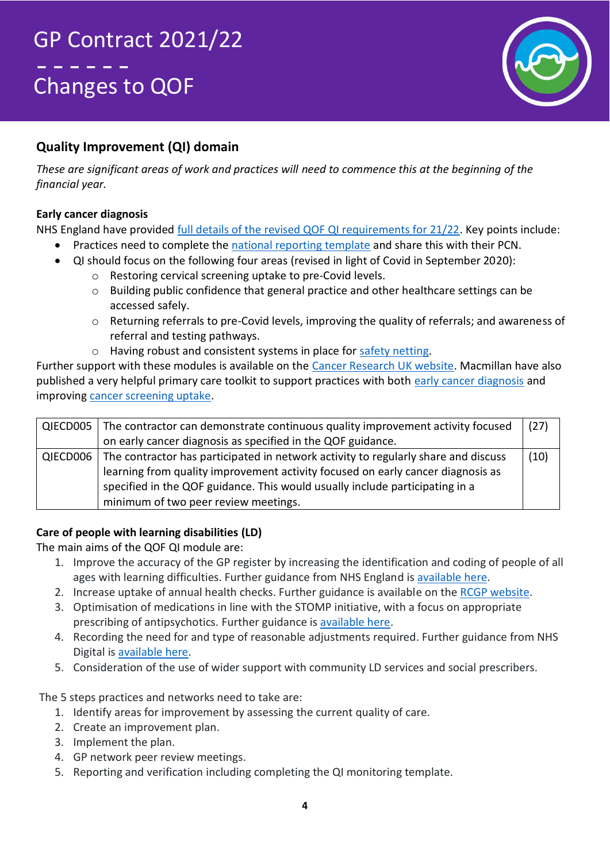

## **Quality Improvement (QI) domain**

*These are significant areas of work and practices will need to commence this at the beginning of the financial year.*

### **Early cancer diagnosis**

NHS England have provided [full details of the revised QOF QI requirements for 21/22.](https://www.england.nhs.uk/wp-content/uploads/2021/03/B0456-update-on-quality-outcomes-framework-changes-for-21-22-.pdf) Key points include:

- Practices need to complete the [national reporting template](https://www.lmc.org.uk/visageimages/Covid-19/10.%20QOF-QI-Reporting-Template-Final%20Cancer-2020-21.docx) and share this with their PCN.
- QI should focus on the following four areas (revised in light of Covid in September 2020):
	- o Restoring cervical screening uptake to pre-Covid levels.
	- o Building public confidence that general practice and other healthcare settings can be accessed safely.
	- $\circ$  Returning referrals to pre-Covid levels, improving the quality of referrals; and awareness of referral and testing pathways.
	- o Having robust and consistent systems in place for [safety netting.](https://vepimg.b8cdn.com/uploads/vjfnew/1644/content/docs/1604065721covid-safety-netting-guide-for-gps-and-practices-oct-2020-pdf1604065721.pdf)

Further support with these modules is available on the [Cancer Research UK website.](https://www.cancerresearchuk.org/health-professional/learning-and-support/resources/gp-contract-guide/working-on-the-qof) Macmillan have also published a very helpful primary care toolkit to support practices with both [early cancer diagnosis](https://www.macmillan.org.uk/_images/supporting-early-cancer-diagnosis_tcm9-357844.pdf) and improving [cancer screening uptake.](https://www.macmillan.org.uk/_images/cancer-screening_tcm9-357843.pdf)

| QIECD005 | The contractor can demonstrate continuous quality improvement activity focused                | (27) |
|----------|-----------------------------------------------------------------------------------------------|------|
|          | on early cancer diagnosis as specified in the QOF guidance.                                   |      |
|          | QIECD006   The contractor has participated in network activity to regularly share and discuss | (10) |
|          | learning from quality improvement activity focused on early cancer diagnosis as               |      |
|          | specified in the QOF guidance. This would usually include participating in a                  |      |
|          | minimum of two peer review meetings.                                                          |      |

### **Care of people with learning disabilities (LD)**

The main aims of the QOF QI module are:

- 1. Improve the accuracy of the GP register by increasing the identification and coding of people of all ages with learning difficulties. Further guidance from NHS England is [available here.](https://www.england.nhs.uk/wp-content/uploads/2019/10/improving-identification-of-people-with-a-learning-disability-guidance-for-general-practice.pdf)
- 2. Increase uptake of annual health checks. Further guidance is available on the [RCGP website.](https://www.rcgp.org.uk/clinical-and-research/resources/toolkits/health-check-toolkit.aspx)
- 3. Optimisation of medications in line with the STOMP initiative, with a focus on appropriate prescribing of antipsychotics. Further guidance is [available here.](https://www.england.nhs.uk/learning-disabilities/improving-health/stomp/)
- 4. Recording the need for and type of reasonable adjustments required. Further guidance from NHS Digital is [available here.](https://digital.nhs.uk/services/reasonable-adjustment-flag)
- 5. Consideration of the use of wider support with community LD services and social prescribers.

The 5 steps practices and networks need to take are:

- 1. Identify areas for improvement by assessing the current quality of care.
- 2. Create an improvement plan.
- 3. Implement the plan.
- 4. GP network peer review meetings.
- 5. Reporting and verification including completing the QI monitoring template.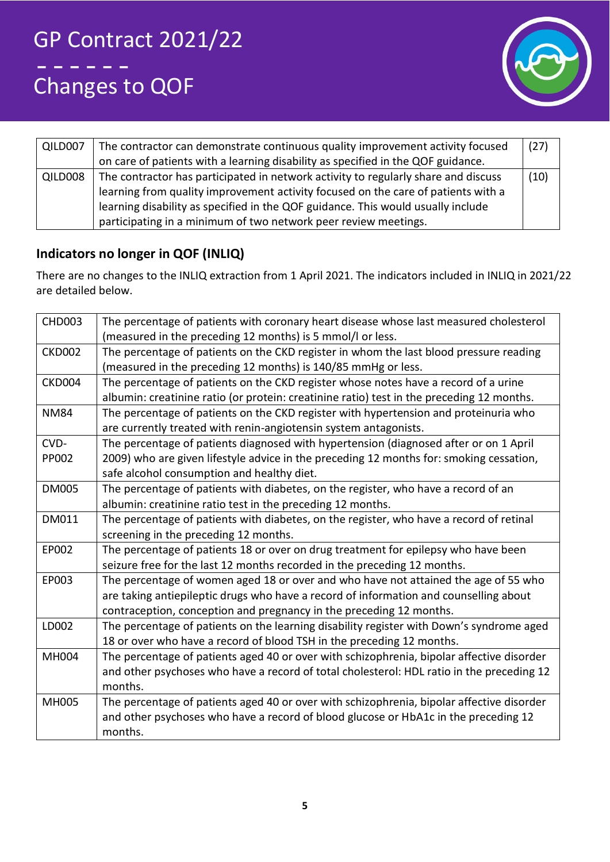

| QILD007 | The contractor can demonstrate continuous quality improvement activity focused     | (27) |
|---------|------------------------------------------------------------------------------------|------|
|         | on care of patients with a learning disability as specified in the QOF guidance.   |      |
| QILD008 | The contractor has participated in network activity to regularly share and discuss | (10) |
|         | learning from quality improvement activity focused on the care of patients with a  |      |
|         | learning disability as specified in the QOF guidance. This would usually include   |      |
|         | participating in a minimum of two network peer review meetings.                    |      |

### **Indicators no longer in QOF (INLIQ)**

There are no changes to the INLIQ extraction from 1 April 2021. The indicators included in INLIQ in 2021/22 are detailed below.

| <b>CHD003</b> | The percentage of patients with coronary heart disease whose last measured cholesterol<br>(measured in the preceding 12 months) is 5 mmol/l or less. |
|---------------|------------------------------------------------------------------------------------------------------------------------------------------------------|
| <b>CKD002</b> | The percentage of patients on the CKD register in whom the last blood pressure reading                                                               |
|               | (measured in the preceding 12 months) is 140/85 mmHg or less.                                                                                        |
| CKD004        | The percentage of patients on the CKD register whose notes have a record of a urine                                                                  |
|               | albumin: creatinine ratio (or protein: creatinine ratio) test in the preceding 12 months.                                                            |
| <b>NM84</b>   | The percentage of patients on the CKD register with hypertension and proteinuria who                                                                 |
|               | are currently treated with renin-angiotensin system antagonists.                                                                                     |
| CVD-          | The percentage of patients diagnosed with hypertension (diagnosed after or on 1 April                                                                |
| PP002         | 2009) who are given lifestyle advice in the preceding 12 months for: smoking cessation,                                                              |
|               | safe alcohol consumption and healthy diet.                                                                                                           |
| <b>DM005</b>  | The percentage of patients with diabetes, on the register, who have a record of an                                                                   |
|               | albumin: creatinine ratio test in the preceding 12 months.                                                                                           |
| DM011         | The percentage of patients with diabetes, on the register, who have a record of retinal                                                              |
|               | screening in the preceding 12 months.                                                                                                                |
| EP002         | The percentage of patients 18 or over on drug treatment for epilepsy who have been                                                                   |
|               | seizure free for the last 12 months recorded in the preceding 12 months.                                                                             |
| EP003         | The percentage of women aged 18 or over and who have not attained the age of 55 who                                                                  |
|               | are taking antiepileptic drugs who have a record of information and counselling about                                                                |
|               | contraception, conception and pregnancy in the preceding 12 months.                                                                                  |
| LD002         | The percentage of patients on the learning disability register with Down's syndrome aged                                                             |
|               | 18 or over who have a record of blood TSH in the preceding 12 months.                                                                                |
| MH004         | The percentage of patients aged 40 or over with schizophrenia, bipolar affective disorder                                                            |
|               | and other psychoses who have a record of total cholesterol: HDL ratio in the preceding 12                                                            |
|               | months.                                                                                                                                              |
| <b>MH005</b>  | The percentage of patients aged 40 or over with schizophrenia, bipolar affective disorder                                                            |
|               | and other psychoses who have a record of blood glucose or HbA1c in the preceding 12                                                                  |
|               | months.                                                                                                                                              |